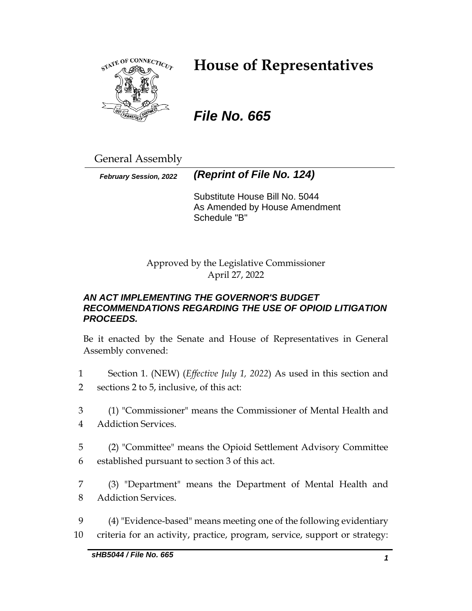

# **House of Representatives**

# *File No. 665*

General Assembly

*February Session, 2022 (Reprint of File No. 124)*

Substitute House Bill No. 5044 As Amended by House Amendment Schedule "B"

Approved by the Legislative Commissioner April 27, 2022

# *AN ACT IMPLEMENTING THE GOVERNOR'S BUDGET RECOMMENDATIONS REGARDING THE USE OF OPIOID LITIGATION PROCEEDS.*

Be it enacted by the Senate and House of Representatives in General Assembly convened:

- 1 Section 1. (NEW) (*Effective July 1, 2022*) As used in this section and 2 sections 2 to 5, inclusive, of this act:
- 3 (1) "Commissioner" means the Commissioner of Mental Health and 4 Addiction Services.
- 5 (2) "Committee" means the Opioid Settlement Advisory Committee 6 established pursuant to section 3 of this act.
- 7 (3) "Department" means the Department of Mental Health and 8 Addiction Services.
- 9 (4) "Evidence-based" means meeting one of the following evidentiary 10 criteria for an activity, practice, program, service, support or strategy: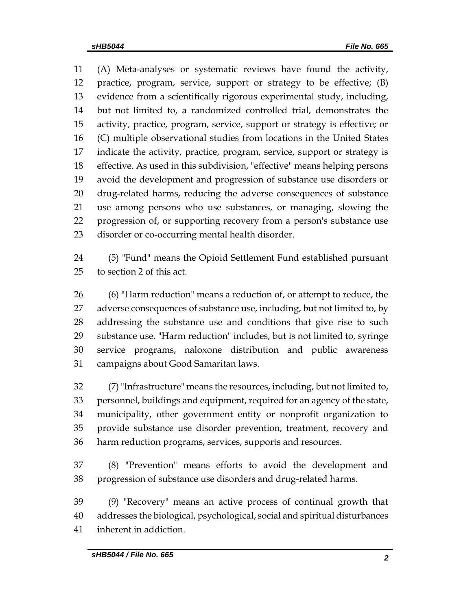(A) Meta-analyses or systematic reviews have found the activity, practice, program, service, support or strategy to be effective; (B) evidence from a scientifically rigorous experimental study, including, but not limited to, a randomized controlled trial, demonstrates the activity, practice, program, service, support or strategy is effective; or (C) multiple observational studies from locations in the United States indicate the activity, practice, program, service, support or strategy is effective. As used in this subdivision, "effective" means helping persons avoid the development and progression of substance use disorders or drug-related harms, reducing the adverse consequences of substance use among persons who use substances, or managing, slowing the progression of, or supporting recovery from a person's substance use disorder or co-occurring mental health disorder.

 (5) "Fund" means the Opioid Settlement Fund established pursuant to section 2 of this act.

 (6) "Harm reduction" means a reduction of, or attempt to reduce, the adverse consequences of substance use, including, but not limited to, by addressing the substance use and conditions that give rise to such substance use. "Harm reduction" includes, but is not limited to, syringe service programs, naloxone distribution and public awareness campaigns about Good Samaritan laws.

 (7) "Infrastructure" means the resources, including, but not limited to, personnel, buildings and equipment, required for an agency of the state, municipality, other government entity or nonprofit organization to provide substance use disorder prevention, treatment, recovery and harm reduction programs, services, supports and resources.

 (8) "Prevention" means efforts to avoid the development and progression of substance use disorders and drug-related harms.

 (9) "Recovery" means an active process of continual growth that addresses the biological, psychological, social and spiritual disturbances inherent in addiction.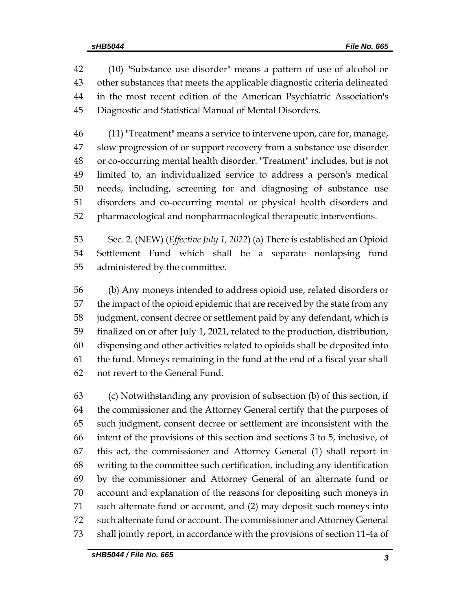(10) "Substance use disorder" means a pattern of use of alcohol or other substances that meets the applicable diagnostic criteria delineated in the most recent edition of the American Psychiatric Association's Diagnostic and Statistical Manual of Mental Disorders.

 (11) "Treatment" means a service to intervene upon, care for, manage, slow progression of or support recovery from a substance use disorder or co-occurring mental health disorder. "Treatment" includes, but is not limited to, an individualized service to address a person's medical needs, including, screening for and diagnosing of substance use disorders and co-occurring mental or physical health disorders and pharmacological and nonpharmacological therapeutic interventions.

 Sec. 2. (NEW) (*Effective July 1, 2022*) (a) There is established an Opioid Settlement Fund which shall be a separate nonlapsing fund administered by the committee.

 (b) Any moneys intended to address opioid use, related disorders or the impact of the opioid epidemic that are received by the state from any judgment, consent decree or settlement paid by any defendant, which is finalized on or after July 1, 2021, related to the production, distribution, dispensing and other activities related to opioids shall be deposited into the fund. Moneys remaining in the fund at the end of a fiscal year shall not revert to the General Fund.

 (c) Notwithstanding any provision of subsection (b) of this section, if the commissioner and the Attorney General certify that the purposes of such judgment, consent decree or settlement are inconsistent with the intent of the provisions of this section and sections 3 to 5, inclusive, of this act, the commissioner and Attorney General (1) shall report in writing to the committee such certification, including any identification by the commissioner and Attorney General of an alternate fund or account and explanation of the reasons for depositing such moneys in such alternate fund or account, and (2) may deposit such moneys into such alternate fund or account. The commissioner and Attorney General shall jointly report, in accordance with the provisions of section 11-4a of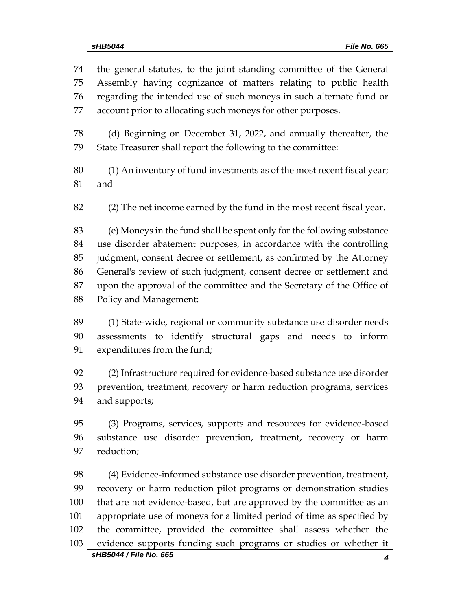the general statutes, to the joint standing committee of the General Assembly having cognizance of matters relating to public health regarding the intended use of such moneys in such alternate fund or account prior to allocating such moneys for other purposes. (d) Beginning on December 31, 2022, and annually thereafter, the State Treasurer shall report the following to the committee: (1) An inventory of fund investments as of the most recent fiscal year; and (2) The net income earned by the fund in the most recent fiscal year. (e) Moneys in the fund shall be spent only for the following substance use disorder abatement purposes, in accordance with the controlling

 judgment, consent decree or settlement, as confirmed by the Attorney General's review of such judgment, consent decree or settlement and upon the approval of the committee and the Secretary of the Office of Policy and Management:

 (1) State-wide, regional or community substance use disorder needs assessments to identify structural gaps and needs to inform expenditures from the fund;

 (2) Infrastructure required for evidence-based substance use disorder prevention, treatment, recovery or harm reduction programs, services and supports;

 (3) Programs, services, supports and resources for evidence-based substance use disorder prevention, treatment, recovery or harm reduction;

*sHB5044 / File No. 665 4* (4) Evidence-informed substance use disorder prevention, treatment, recovery or harm reduction pilot programs or demonstration studies that are not evidence-based, but are approved by the committee as an appropriate use of moneys for a limited period of time as specified by the committee, provided the committee shall assess whether the evidence supports funding such programs or studies or whether it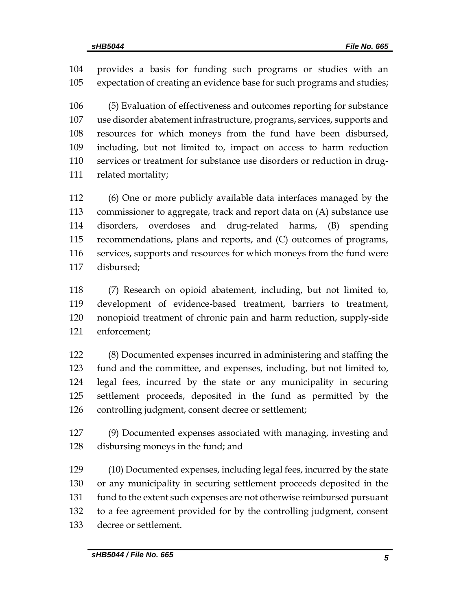provides a basis for funding such programs or studies with an expectation of creating an evidence base for such programs and studies;

 (5) Evaluation of effectiveness and outcomes reporting for substance use disorder abatement infrastructure, programs, services, supports and resources for which moneys from the fund have been disbursed, including, but not limited to, impact on access to harm reduction services or treatment for substance use disorders or reduction in drug-related mortality;

 (6) One or more publicly available data interfaces managed by the commissioner to aggregate, track and report data on (A) substance use disorders, overdoses and drug-related harms, (B) spending recommendations, plans and reports, and (C) outcomes of programs, services, supports and resources for which moneys from the fund were disbursed;

 (7) Research on opioid abatement, including, but not limited to, development of evidence-based treatment, barriers to treatment, nonopioid treatment of chronic pain and harm reduction, supply-side enforcement;

 (8) Documented expenses incurred in administering and staffing the fund and the committee, and expenses, including, but not limited to, legal fees, incurred by the state or any municipality in securing settlement proceeds, deposited in the fund as permitted by the controlling judgment, consent decree or settlement;

 (9) Documented expenses associated with managing, investing and disbursing moneys in the fund; and

 (10) Documented expenses, including legal fees, incurred by the state or any municipality in securing settlement proceeds deposited in the fund to the extent such expenses are not otherwise reimbursed pursuant to a fee agreement provided for by the controlling judgment, consent decree or settlement.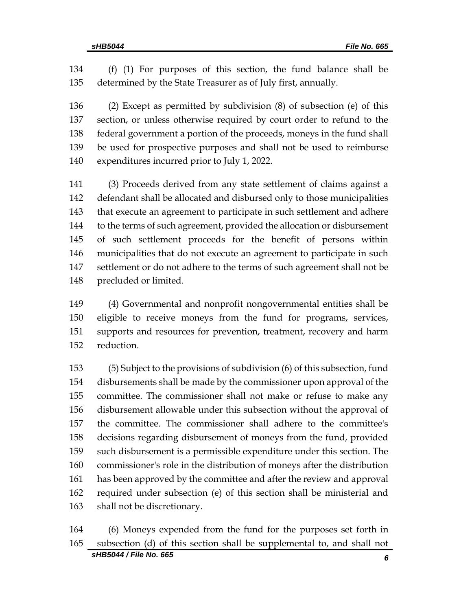(f) (1) For purposes of this section, the fund balance shall be determined by the State Treasurer as of July first, annually.

 (2) Except as permitted by subdivision (8) of subsection (e) of this section, or unless otherwise required by court order to refund to the federal government a portion of the proceeds, moneys in the fund shall be used for prospective purposes and shall not be used to reimburse expenditures incurred prior to July 1, 2022.

 (3) Proceeds derived from any state settlement of claims against a defendant shall be allocated and disbursed only to those municipalities 143 that execute an agreement to participate in such settlement and adhere to the terms of such agreement, provided the allocation or disbursement of such settlement proceeds for the benefit of persons within municipalities that do not execute an agreement to participate in such settlement or do not adhere to the terms of such agreement shall not be precluded or limited.

 (4) Governmental and nonprofit nongovernmental entities shall be eligible to receive moneys from the fund for programs, services, supports and resources for prevention, treatment, recovery and harm reduction.

 (5) Subject to the provisions of subdivision (6) of this subsection, fund disbursements shall be made by the commissioner upon approval of the committee. The commissioner shall not make or refuse to make any disbursement allowable under this subsection without the approval of the committee. The commissioner shall adhere to the committee's decisions regarding disbursement of moneys from the fund, provided such disbursement is a permissible expenditure under this section. The commissioner's role in the distribution of moneys after the distribution has been approved by the committee and after the review and approval required under subsection (e) of this section shall be ministerial and shall not be discretionary.

 (6) Moneys expended from the fund for the purposes set forth in subsection (d) of this section shall be supplemental to, and shall not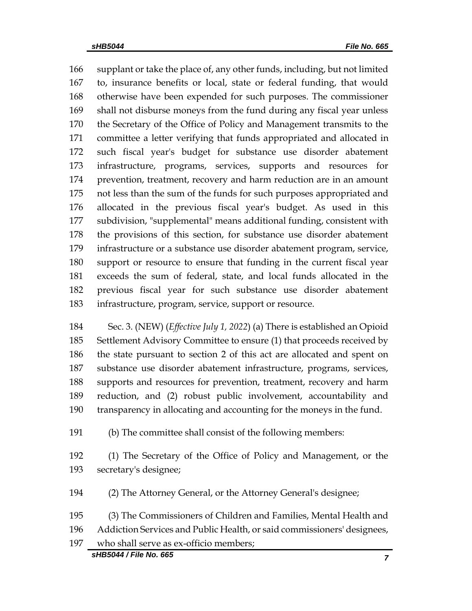supplant or take the place of, any other funds, including, but not limited to, insurance benefits or local, state or federal funding, that would otherwise have been expended for such purposes. The commissioner shall not disburse moneys from the fund during any fiscal year unless the Secretary of the Office of Policy and Management transmits to the committee a letter verifying that funds appropriated and allocated in such fiscal year's budget for substance use disorder abatement infrastructure, programs, services, supports and resources for prevention, treatment, recovery and harm reduction are in an amount not less than the sum of the funds for such purposes appropriated and allocated in the previous fiscal year's budget. As used in this subdivision, "supplemental" means additional funding, consistent with the provisions of this section, for substance use disorder abatement infrastructure or a substance use disorder abatement program, service, support or resource to ensure that funding in the current fiscal year exceeds the sum of federal, state, and local funds allocated in the previous fiscal year for such substance use disorder abatement infrastructure, program, service, support or resource.

 Sec. 3. (NEW) (*Effective July 1, 2022*) (a) There is established an Opioid Settlement Advisory Committee to ensure (1) that proceeds received by the state pursuant to section 2 of this act are allocated and spent on substance use disorder abatement infrastructure, programs, services, supports and resources for prevention, treatment, recovery and harm reduction, and (2) robust public involvement, accountability and transparency in allocating and accounting for the moneys in the fund.

(b) The committee shall consist of the following members:

 (1) The Secretary of the Office of Policy and Management, or the secretary's designee;

(2) The Attorney General, or the Attorney General's designee;

(3) The Commissioners of Children and Families, Mental Health and

Addiction Services and Public Health, or said commissioners' designees,

who shall serve as ex-officio members;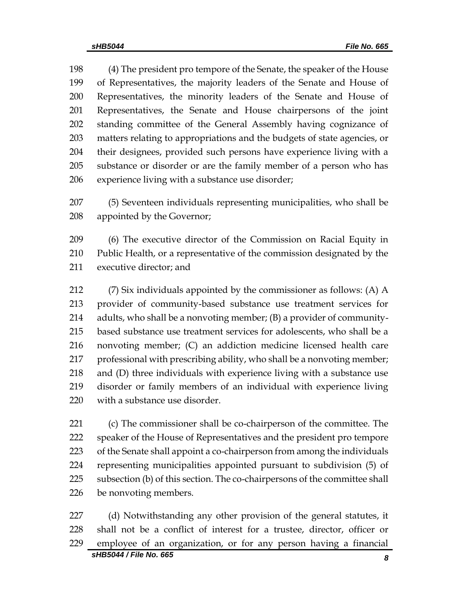(4) The president pro tempore of the Senate, the speaker of the House of Representatives, the majority leaders of the Senate and House of Representatives, the minority leaders of the Senate and House of Representatives, the Senate and House chairpersons of the joint standing committee of the General Assembly having cognizance of matters relating to appropriations and the budgets of state agencies, or their designees, provided such persons have experience living with a substance or disorder or are the family member of a person who has experience living with a substance use disorder;

 (5) Seventeen individuals representing municipalities, who shall be appointed by the Governor;

 (6) The executive director of the Commission on Racial Equity in Public Health, or a representative of the commission designated by the executive director; and

 (7) Six individuals appointed by the commissioner as follows: (A) A provider of community-based substance use treatment services for adults, who shall be a nonvoting member; (B) a provider of community- based substance use treatment services for adolescents, who shall be a nonvoting member; (C) an addiction medicine licensed health care 217 professional with prescribing ability, who shall be a nonvoting member; and (D) three individuals with experience living with a substance use disorder or family members of an individual with experience living with a substance use disorder.

 (c) The commissioner shall be co-chairperson of the committee. The speaker of the House of Representatives and the president pro tempore 223 of the Senate shall appoint a co-chairperson from among the individuals representing municipalities appointed pursuant to subdivision (5) of subsection (b) of this section. The co-chairpersons of the committee shall be nonvoting members.

 (d) Notwithstanding any other provision of the general statutes, it shall not be a conflict of interest for a trustee, director, officer or employee of an organization, or for any person having a financial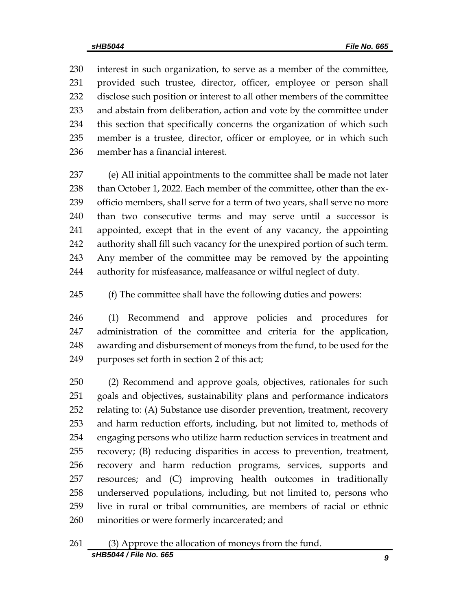interest in such organization, to serve as a member of the committee, provided such trustee, director, officer, employee or person shall disclose such position or interest to all other members of the committee and abstain from deliberation, action and vote by the committee under this section that specifically concerns the organization of which such member is a trustee, director, officer or employee, or in which such member has a financial interest.

 (e) All initial appointments to the committee shall be made not later 238 than October 1, 2022. Each member of the committee, other than the ex- officio members, shall serve for a term of two years, shall serve no more than two consecutive terms and may serve until a successor is appointed, except that in the event of any vacancy, the appointing authority shall fill such vacancy for the unexpired portion of such term. Any member of the committee may be removed by the appointing authority for misfeasance, malfeasance or wilful neglect of duty.

(f) The committee shall have the following duties and powers:

 (1) Recommend and approve policies and procedures for administration of the committee and criteria for the application, awarding and disbursement of moneys from the fund, to be used for the purposes set forth in section 2 of this act;

 (2) Recommend and approve goals, objectives, rationales for such goals and objectives, sustainability plans and performance indicators relating to: (A) Substance use disorder prevention, treatment, recovery and harm reduction efforts, including, but not limited to, methods of engaging persons who utilize harm reduction services in treatment and recovery; (B) reducing disparities in access to prevention, treatment, recovery and harm reduction programs, services, supports and resources; and (C) improving health outcomes in traditionally underserved populations, including, but not limited to, persons who live in rural or tribal communities, are members of racial or ethnic minorities or were formerly incarcerated; and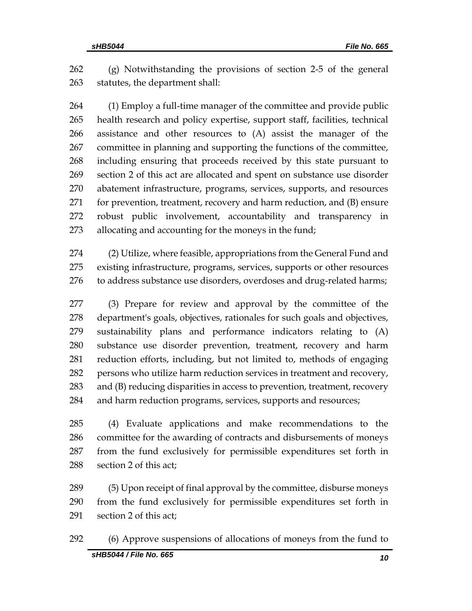(g) Notwithstanding the provisions of section 2-5 of the general statutes, the department shall:

 (1) Employ a full-time manager of the committee and provide public health research and policy expertise, support staff, facilities, technical assistance and other resources to (A) assist the manager of the committee in planning and supporting the functions of the committee, including ensuring that proceeds received by this state pursuant to section 2 of this act are allocated and spent on substance use disorder abatement infrastructure, programs, services, supports, and resources for prevention, treatment, recovery and harm reduction, and (B) ensure robust public involvement, accountability and transparency in allocating and accounting for the moneys in the fund;

 (2) Utilize, where feasible, appropriations from the General Fund and existing infrastructure, programs, services, supports or other resources to address substance use disorders, overdoses and drug-related harms;

 (3) Prepare for review and approval by the committee of the department's goals, objectives, rationales for such goals and objectives, sustainability plans and performance indicators relating to (A) substance use disorder prevention, treatment, recovery and harm reduction efforts, including, but not limited to, methods of engaging persons who utilize harm reduction services in treatment and recovery, and (B) reducing disparities in access to prevention, treatment, recovery and harm reduction programs, services, supports and resources;

 (4) Evaluate applications and make recommendations to the committee for the awarding of contracts and disbursements of moneys from the fund exclusively for permissible expenditures set forth in section 2 of this act;

 (5) Upon receipt of final approval by the committee, disburse moneys from the fund exclusively for permissible expenditures set forth in section 2 of this act;

(6) Approve suspensions of allocations of moneys from the fund to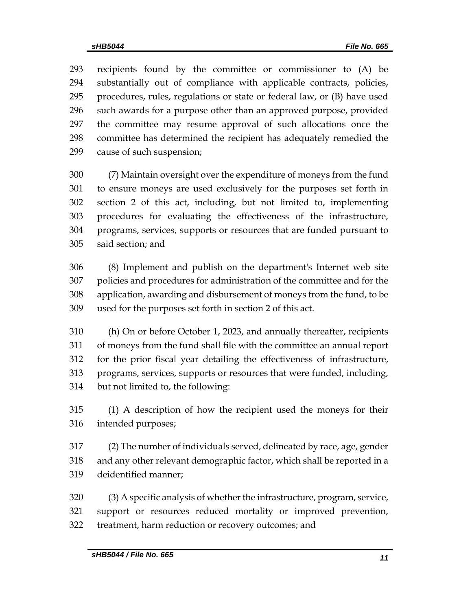recipients found by the committee or commissioner to (A) be substantially out of compliance with applicable contracts, policies, procedures, rules, regulations or state or federal law, or (B) have used such awards for a purpose other than an approved purpose, provided the committee may resume approval of such allocations once the committee has determined the recipient has adequately remedied the cause of such suspension;

 (7) Maintain oversight over the expenditure of moneys from the fund to ensure moneys are used exclusively for the purposes set forth in section 2 of this act, including, but not limited to, implementing procedures for evaluating the effectiveness of the infrastructure, programs, services, supports or resources that are funded pursuant to said section; and

 (8) Implement and publish on the department's Internet web site policies and procedures for administration of the committee and for the application, awarding and disbursement of moneys from the fund, to be used for the purposes set forth in section 2 of this act.

 (h) On or before October 1, 2023, and annually thereafter, recipients of moneys from the fund shall file with the committee an annual report for the prior fiscal year detailing the effectiveness of infrastructure, programs, services, supports or resources that were funded, including, but not limited to, the following:

 (1) A description of how the recipient used the moneys for their intended purposes;

 (2) The number of individuals served, delineated by race, age, gender and any other relevant demographic factor, which shall be reported in a deidentified manner;

 (3) A specific analysis of whether the infrastructure, program, service, support or resources reduced mortality or improved prevention, treatment, harm reduction or recovery outcomes; and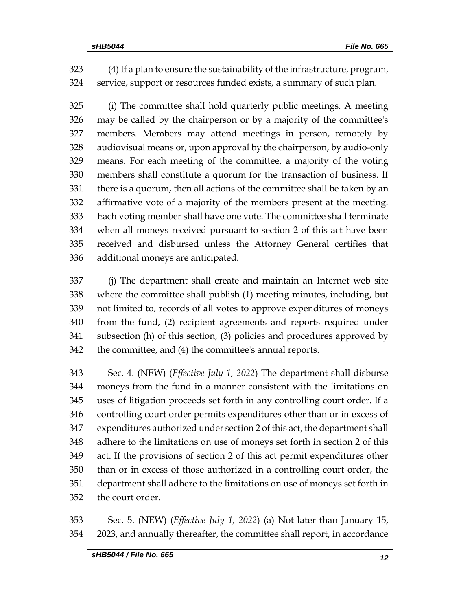(4) If a plan to ensure the sustainability of the infrastructure, program, service, support or resources funded exists, a summary of such plan.

 (i) The committee shall hold quarterly public meetings. A meeting may be called by the chairperson or by a majority of the committee's members. Members may attend meetings in person, remotely by audiovisual means or, upon approval by the chairperson, by audio-only means. For each meeting of the committee, a majority of the voting members shall constitute a quorum for the transaction of business. If there is a quorum, then all actions of the committee shall be taken by an affirmative vote of a majority of the members present at the meeting. Each voting member shall have one vote. The committee shall terminate when all moneys received pursuant to section 2 of this act have been received and disbursed unless the Attorney General certifies that additional moneys are anticipated.

 (j) The department shall create and maintain an Internet web site where the committee shall publish (1) meeting minutes, including, but not limited to, records of all votes to approve expenditures of moneys from the fund, (2) recipient agreements and reports required under subsection (h) of this section, (3) policies and procedures approved by the committee, and (4) the committee's annual reports.

 Sec. 4. (NEW) (*Effective July 1, 2022*) The department shall disburse moneys from the fund in a manner consistent with the limitations on uses of litigation proceeds set forth in any controlling court order. If a controlling court order permits expenditures other than or in excess of expenditures authorized under section 2 of this act, the department shall adhere to the limitations on use of moneys set forth in section 2 of this act. If the provisions of section 2 of this act permit expenditures other than or in excess of those authorized in a controlling court order, the department shall adhere to the limitations on use of moneys set forth in the court order.

 Sec. 5. (NEW) (*Effective July 1, 2022*) (a) Not later than January 15, 2023, and annually thereafter, the committee shall report, in accordance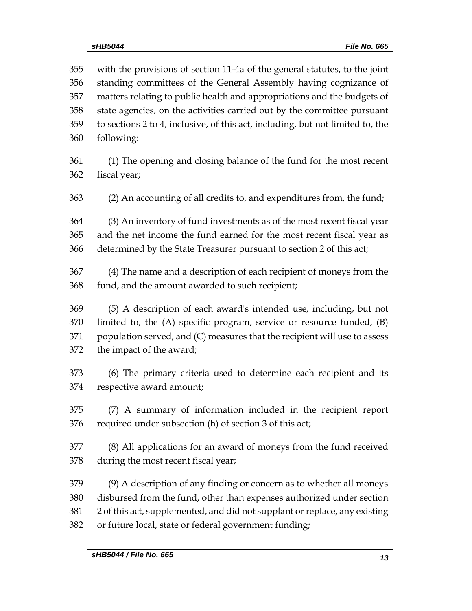with the provisions of section 11-4a of the general statutes, to the joint standing committees of the General Assembly having cognizance of matters relating to public health and appropriations and the budgets of state agencies, on the activities carried out by the committee pursuant to sections 2 to 4, inclusive, of this act, including, but not limited to, the following:

 (1) The opening and closing balance of the fund for the most recent fiscal year;

(2) An accounting of all credits to, and expenditures from, the fund;

 (3) An inventory of fund investments as of the most recent fiscal year and the net income the fund earned for the most recent fiscal year as determined by the State Treasurer pursuant to section 2 of this act;

 (4) The name and a description of each recipient of moneys from the fund, and the amount awarded to such recipient;

 (5) A description of each award's intended use, including, but not limited to, the (A) specific program, service or resource funded, (B) population served, and (C) measures that the recipient will use to assess the impact of the award;

 (6) The primary criteria used to determine each recipient and its respective award amount;

 (7) A summary of information included in the recipient report required under subsection (h) of section 3 of this act;

 (8) All applications for an award of moneys from the fund received during the most recent fiscal year;

 (9) A description of any finding or concern as to whether all moneys disbursed from the fund, other than expenses authorized under section 2 of this act, supplemented, and did not supplant or replace, any existing or future local, state or federal government funding;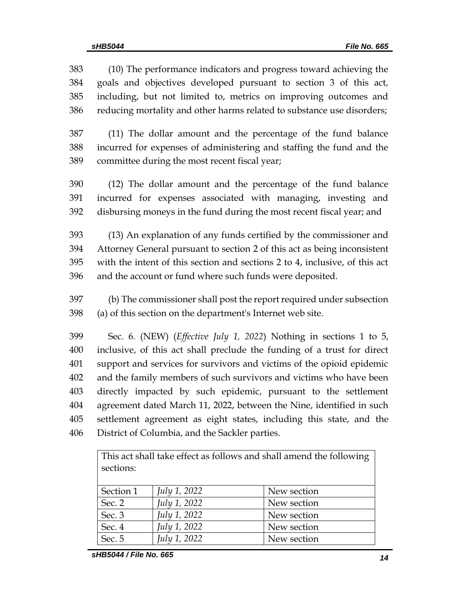(10) The performance indicators and progress toward achieving the goals and objectives developed pursuant to section 3 of this act, including, but not limited to, metrics on improving outcomes and reducing mortality and other harms related to substance use disorders;

 (11) The dollar amount and the percentage of the fund balance incurred for expenses of administering and staffing the fund and the committee during the most recent fiscal year;

 (12) The dollar amount and the percentage of the fund balance incurred for expenses associated with managing, investing and disbursing moneys in the fund during the most recent fiscal year; and

 (13) An explanation of any funds certified by the commissioner and Attorney General pursuant to section 2 of this act as being inconsistent with the intent of this section and sections 2 to 4, inclusive, of this act and the account or fund where such funds were deposited.

 (b) The commissioner shall post the report required under subsection (a) of this section on the department's Internet web site.

 Sec. 6. (NEW) (*Effective July 1, 2022*) Nothing in sections 1 to 5, inclusive, of this act shall preclude the funding of a trust for direct support and services for survivors and victims of the opioid epidemic and the family members of such survivors and victims who have been directly impacted by such epidemic, pursuant to the settlement agreement dated March 11, 2022, between the Nine, identified in such settlement agreement as eight states, including this state, and the District of Columbia, and the Sackler parties.

| This act shall take effect as follows and shall amend the following |                     |             |  |  |  |  |  |
|---------------------------------------------------------------------|---------------------|-------------|--|--|--|--|--|
| sections:                                                           |                     |             |  |  |  |  |  |
|                                                                     |                     |             |  |  |  |  |  |
| Section 1                                                           | <i>July 1, 2022</i> | New section |  |  |  |  |  |
| Sec. 2                                                              | July 1, 2022        | New section |  |  |  |  |  |
| Sec. 3                                                              | July 1, 2022        | New section |  |  |  |  |  |
| Sec. 4                                                              | July 1, 2022        | New section |  |  |  |  |  |
| Sec. 5                                                              | <i>July 1, 2022</i> | New section |  |  |  |  |  |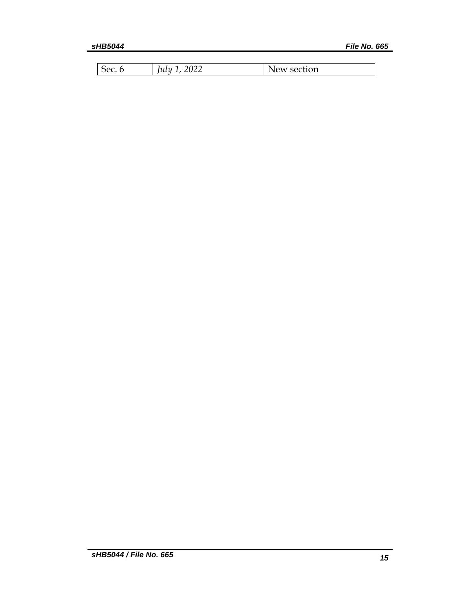| Sec. | າ∩າາ<br>lulu<br>UZZ | New section |
|------|---------------------|-------------|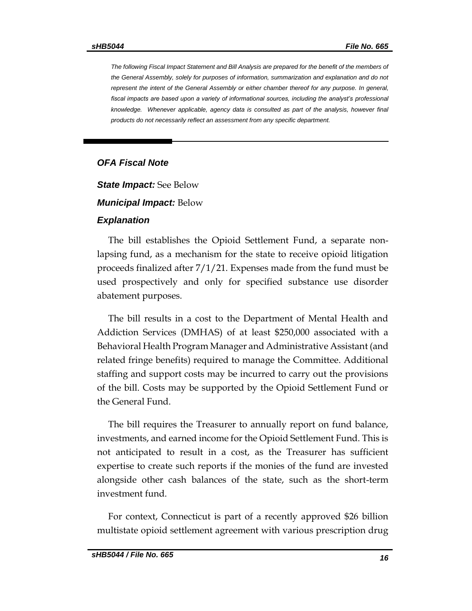*The following Fiscal Impact Statement and Bill Analysis are prepared for the benefit of the members of the General Assembly, solely for purposes of information, summarization and explanation and do not represent the intent of the General Assembly or either chamber thereof for any purpose. In general,*  fiscal impacts are based upon a variety of informational sources, including the analyst's professional *knowledge. Whenever applicable, agency data is consulted as part of the analysis, however final products do not necessarily reflect an assessment from any specific department.*

### *OFA Fiscal Note*

*State Impact:* See Below

#### *Municipal Impact:* Below

### *Explanation*

The bill establishes the Opioid Settlement Fund, a separate nonlapsing fund, as a mechanism for the state to receive opioid litigation proceeds finalized after 7/1/21. Expenses made from the fund must be used prospectively and only for specified substance use disorder abatement purposes.

The bill results in a cost to the Department of Mental Health and Addiction Services (DMHAS) of at least \$250,000 associated with a Behavioral Health Program Manager and Administrative Assistant (and related fringe benefits) required to manage the Committee. Additional staffing and support costs may be incurred to carry out the provisions of the bill. Costs may be supported by the Opioid Settlement Fund or the General Fund.

The bill requires the Treasurer to annually report on fund balance, investments, and earned income for the Opioid Settlement Fund. This is not anticipated to result in a cost, as the Treasurer has sufficient expertise to create such reports if the monies of the fund are invested alongside other cash balances of the state, such as the short-term investment fund.

For context, Connecticut is part of a recently approved \$26 billion multistate opioid settlement agreement with various prescription drug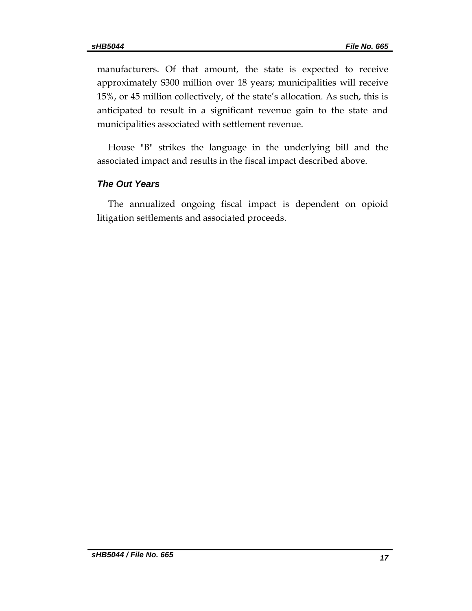manufacturers. Of that amount, the state is expected to receive approximately \$300 million over 18 years; municipalities will receive 15%, or 45 million collectively, of the state's allocation. As such, this is anticipated to result in a significant revenue gain to the state and municipalities associated with settlement revenue.

House "B" strikes the language in the underlying bill and the associated impact and results in the fiscal impact described above.

### *The Out Years*

The annualized ongoing fiscal impact is dependent on opioid litigation settlements and associated proceeds.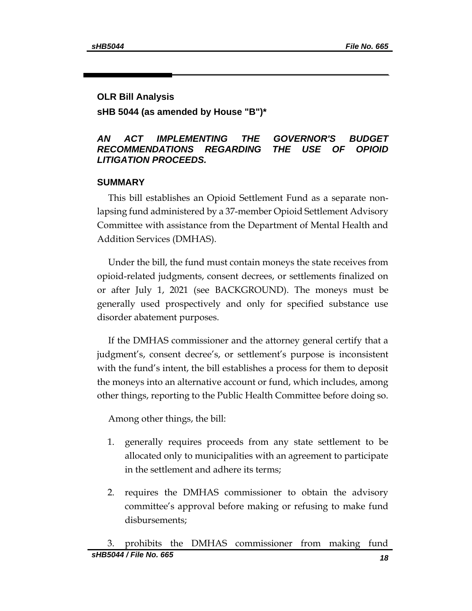### **OLR Bill Analysis**

**sHB 5044 (as amended by House "B")\***

### *AN ACT IMPLEMENTING THE GOVERNOR'S BUDGET RECOMMENDATIONS REGARDING THE USE OF OPIOID LITIGATION PROCEEDS.*

### **SUMMARY**

This bill establishes an Opioid Settlement Fund as a separate nonlapsing fund administered by a 37-member Opioid Settlement Advisory Committee with assistance from the Department of Mental Health and Addition Services (DMHAS).

Under the bill, the fund must contain moneys the state receives from opioid-related judgments, consent decrees, or settlements finalized on or after July 1, 2021 (see BACKGROUND). The moneys must be generally used prospectively and only for specified substance use disorder abatement purposes.

If the DMHAS commissioner and the attorney general certify that a judgment's, consent decree's, or settlement's purpose is inconsistent with the fund's intent, the bill establishes a process for them to deposit the moneys into an alternative account or fund, which includes, among other things, reporting to the Public Health Committee before doing so.

Among other things, the bill:

- 1. generally requires proceeds from any state settlement to be allocated only to municipalities with an agreement to participate in the settlement and adhere its terms;
- 2. requires the DMHAS commissioner to obtain the advisory committee's approval before making or refusing to make fund disbursements;

*sHB5044 / File No. 665 18* 3. prohibits the DMHAS commissioner from making fund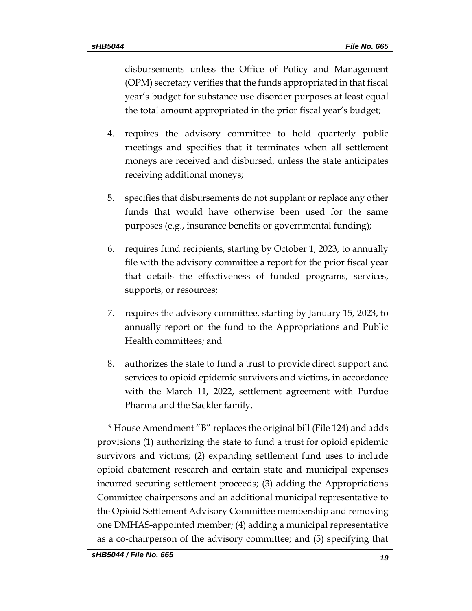disbursements unless the Office of Policy and Management (OPM) secretary verifies that the funds appropriated in that fiscal year's budget for substance use disorder purposes at least equal the total amount appropriated in the prior fiscal year's budget;

- 4. requires the advisory committee to hold quarterly public meetings and specifies that it terminates when all settlement moneys are received and disbursed, unless the state anticipates receiving additional moneys;
- 5. specifies that disbursements do not supplant or replace any other funds that would have otherwise been used for the same purposes (e.g., insurance benefits or governmental funding);
- 6. requires fund recipients, starting by October 1, 2023, to annually file with the advisory committee a report for the prior fiscal year that details the effectiveness of funded programs, services, supports, or resources;
- 7. requires the advisory committee, starting by January 15, 2023, to annually report on the fund to the Appropriations and Public Health committees; and
- 8. authorizes the state to fund a trust to provide direct support and services to opioid epidemic survivors and victims, in accordance with the March 11, 2022, settlement agreement with Purdue Pharma and the Sackler family.

\* House Amendment "B" replaces the original bill (File 124) and adds provisions (1) authorizing the state to fund a trust for opioid epidemic survivors and victims; (2) expanding settlement fund uses to include opioid abatement research and certain state and municipal expenses incurred securing settlement proceeds; (3) adding the Appropriations Committee chairpersons and an additional municipal representative to the Opioid Settlement Advisory Committee membership and removing one DMHAS-appointed member; (4) adding a municipal representative as a co-chairperson of the advisory committee; and (5) specifying that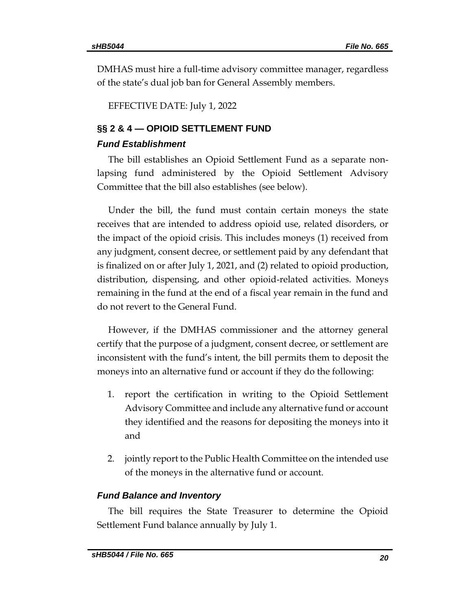DMHAS must hire a full-time advisory committee manager, regardless of the state's dual job ban for General Assembly members.

EFFECTIVE DATE: July 1, 2022

# **§§ 2 & 4 — OPIOID SETTLEMENT FUND**

### *Fund Establishment*

The bill establishes an Opioid Settlement Fund as a separate nonlapsing fund administered by the Opioid Settlement Advisory Committee that the bill also establishes (see below).

Under the bill, the fund must contain certain moneys the state receives that are intended to address opioid use, related disorders, or the impact of the opioid crisis. This includes moneys (1) received from any judgment, consent decree, or settlement paid by any defendant that is finalized on or after July 1, 2021, and (2) related to opioid production, distribution, dispensing, and other opioid-related activities. Moneys remaining in the fund at the end of a fiscal year remain in the fund and do not revert to the General Fund.

However, if the DMHAS commissioner and the attorney general certify that the purpose of a judgment, consent decree, or settlement are inconsistent with the fund's intent, the bill permits them to deposit the moneys into an alternative fund or account if they do the following:

- 1. report the certification in writing to the Opioid Settlement Advisory Committee and include any alternative fund or account they identified and the reasons for depositing the moneys into it and
- 2. jointly report to the Public Health Committee on the intended use of the moneys in the alternative fund or account.

### *Fund Balance and Inventory*

The bill requires the State Treasurer to determine the Opioid Settlement Fund balance annually by July 1.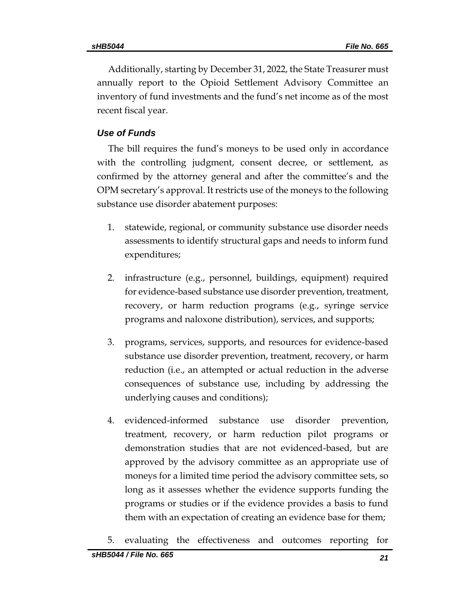Additionally, starting by December 31, 2022, the State Treasurer must annually report to the Opioid Settlement Advisory Committee an inventory of fund investments and the fund's net income as of the most recent fiscal year.

### *Use of Funds*

The bill requires the fund's moneys to be used only in accordance with the controlling judgment, consent decree, or settlement, as confirmed by the attorney general and after the committee's and the OPM secretary's approval. It restricts use of the moneys to the following substance use disorder abatement purposes:

- 1. statewide, regional, or community substance use disorder needs assessments to identify structural gaps and needs to inform fund expenditures;
- 2. infrastructure (e.g., personnel, buildings, equipment) required for evidence-based substance use disorder prevention, treatment, recovery, or harm reduction programs (e.g., syringe service programs and naloxone distribution), services, and supports;
- 3. programs, services, supports, and resources for evidence-based substance use disorder prevention, treatment, recovery, or harm reduction (i.e., an attempted or actual reduction in the adverse consequences of substance use, including by addressing the underlying causes and conditions);
- 4. evidenced-informed substance use disorder prevention, treatment, recovery, or harm reduction pilot programs or demonstration studies that are not evidenced-based, but are approved by the advisory committee as an appropriate use of moneys for a limited time period the advisory committee sets, so long as it assesses whether the evidence supports funding the programs or studies or if the evidence provides a basis to fund them with an expectation of creating an evidence base for them;
- 5. evaluating the effectiveness and outcomes reporting for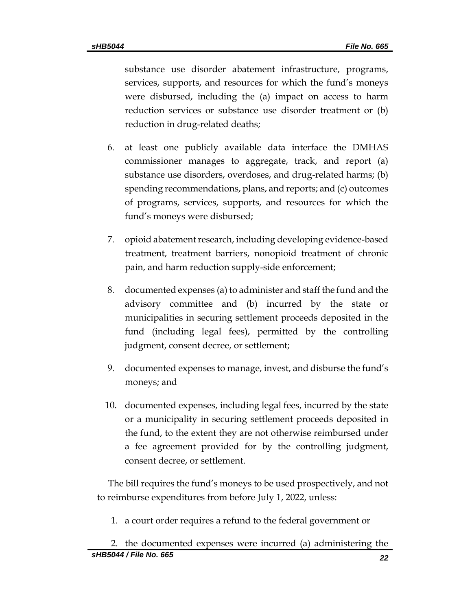substance use disorder abatement infrastructure, programs, services, supports, and resources for which the fund's moneys were disbursed, including the (a) impact on access to harm reduction services or substance use disorder treatment or (b) reduction in drug-related deaths;

- 6. at least one publicly available data interface the DMHAS commissioner manages to aggregate, track, and report (a) substance use disorders, overdoses, and drug-related harms; (b) spending recommendations, plans, and reports; and (c) outcomes of programs, services, supports, and resources for which the fund's moneys were disbursed;
- 7. opioid abatement research, including developing evidence-based treatment, treatment barriers, nonopioid treatment of chronic pain, and harm reduction supply-side enforcement;
- 8. documented expenses (a) to administer and staff the fund and the advisory committee and (b) incurred by the state or municipalities in securing settlement proceeds deposited in the fund (including legal fees), permitted by the controlling judgment, consent decree, or settlement;
- 9. documented expenses to manage, invest, and disburse the fund's moneys; and
- 10. documented expenses, including legal fees, incurred by the state or a municipality in securing settlement proceeds deposited in the fund, to the extent they are not otherwise reimbursed under a fee agreement provided for by the controlling judgment, consent decree, or settlement.

The bill requires the fund's moneys to be used prospectively, and not to reimburse expenditures from before July 1, 2022, unless:

1. a court order requires a refund to the federal government or

*sHB5044 / File No. 665 22* 2. the documented expenses were incurred (a) administering the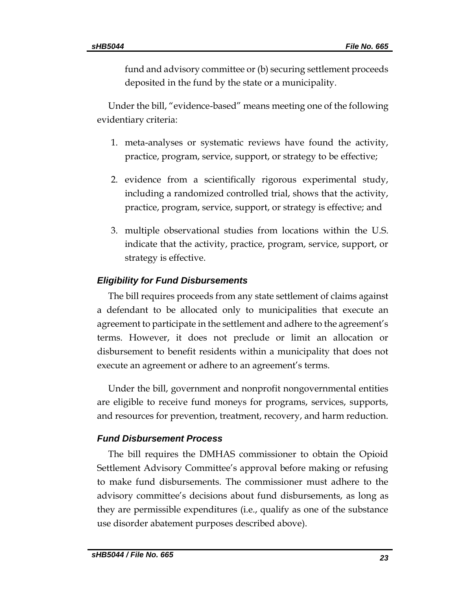fund and advisory committee or (b) securing settlement proceeds deposited in the fund by the state or a municipality.

Under the bill, "evidence-based" means meeting one of the following evidentiary criteria:

- 1. meta-analyses or systematic reviews have found the activity, practice, program, service, support, or strategy to be effective;
- 2. evidence from a scientifically rigorous experimental study, including a randomized controlled trial, shows that the activity, practice, program, service, support, or strategy is effective; and
- 3. multiple observational studies from locations within the U.S. indicate that the activity, practice, program, service, support, or strategy is effective.

## *Eligibility for Fund Disbursements*

The bill requires proceeds from any state settlement of claims against a defendant to be allocated only to municipalities that execute an agreement to participate in the settlement and adhere to the agreement's terms. However, it does not preclude or limit an allocation or disbursement to benefit residents within a municipality that does not execute an agreement or adhere to an agreement's terms.

Under the bill, government and nonprofit nongovernmental entities are eligible to receive fund moneys for programs, services, supports, and resources for prevention, treatment, recovery, and harm reduction.

### *Fund Disbursement Process*

The bill requires the DMHAS commissioner to obtain the Opioid Settlement Advisory Committee's approval before making or refusing to make fund disbursements. The commissioner must adhere to the advisory committee's decisions about fund disbursements, as long as they are permissible expenditures (i.e., qualify as one of the substance use disorder abatement purposes described above).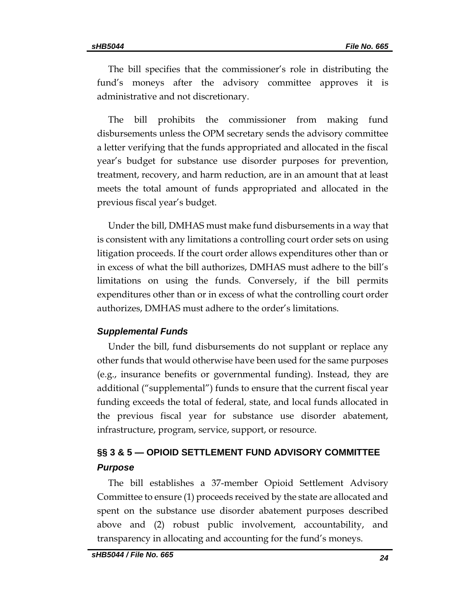The bill specifies that the commissioner's role in distributing the fund's moneys after the advisory committee approves it is administrative and not discretionary.

The bill prohibits the commissioner from making fund disbursements unless the OPM secretary sends the advisory committee a letter verifying that the funds appropriated and allocated in the fiscal year's budget for substance use disorder purposes for prevention, treatment, recovery, and harm reduction, are in an amount that at least meets the total amount of funds appropriated and allocated in the previous fiscal year's budget.

Under the bill, DMHAS must make fund disbursements in a way that is consistent with any limitations a controlling court order sets on using litigation proceeds. If the court order allows expenditures other than or in excess of what the bill authorizes, DMHAS must adhere to the bill's limitations on using the funds. Conversely, if the bill permits expenditures other than or in excess of what the controlling court order authorizes, DMHAS must adhere to the order's limitations.

### *Supplemental Funds*

Under the bill, fund disbursements do not supplant or replace any other funds that would otherwise have been used for the same purposes (e.g., insurance benefits or governmental funding). Instead, they are additional ("supplemental") funds to ensure that the current fiscal year funding exceeds the total of federal, state, and local funds allocated in the previous fiscal year for substance use disorder abatement, infrastructure, program, service, support, or resource.

# **§§ 3 & 5 — OPIOID SETTLEMENT FUND ADVISORY COMMITTEE** *Purpose*

The bill establishes a 37-member Opioid Settlement Advisory Committee to ensure (1) proceeds received by the state are allocated and spent on the substance use disorder abatement purposes described above and (2) robust public involvement, accountability, and transparency in allocating and accounting for the fund's moneys.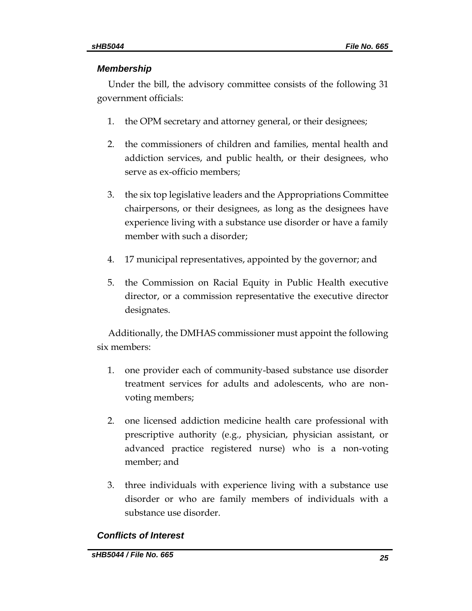## *Membership*

Under the bill, the advisory committee consists of the following 31 government officials:

- 1. the OPM secretary and attorney general, or their designees;
- 2. the commissioners of children and families, mental health and addiction services, and public health, or their designees, who serve as ex-officio members;
- 3. the six top legislative leaders and the Appropriations Committee chairpersons, or their designees, as long as the designees have experience living with a substance use disorder or have a family member with such a disorder;
- 4. 17 municipal representatives, appointed by the governor; and
- 5. the Commission on Racial Equity in Public Health executive director, or a commission representative the executive director designates.

Additionally, the DMHAS commissioner must appoint the following six members:

- 1. one provider each of community-based substance use disorder treatment services for adults and adolescents, who are nonvoting members;
- 2. one licensed addiction medicine health care professional with prescriptive authority (e.g., physician, physician assistant, or advanced practice registered nurse) who is a non-voting member; and
- 3. three individuals with experience living with a substance use disorder or who are family members of individuals with a substance use disorder.

# *Conflicts of Interest*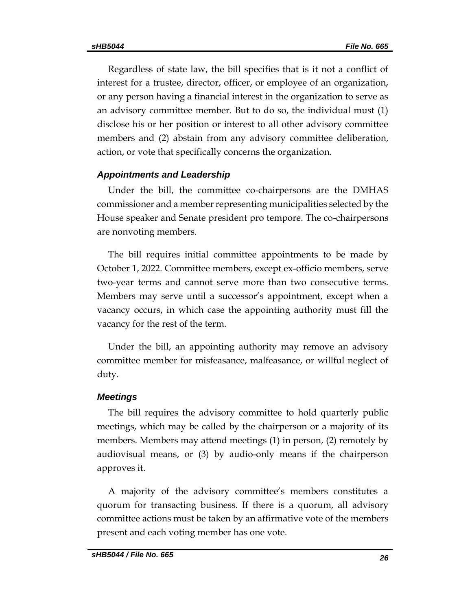Regardless of state law, the bill specifies that is it not a conflict of interest for a trustee, director, officer, or employee of an organization, or any person having a financial interest in the organization to serve as an advisory committee member. But to do so, the individual must (1) disclose his or her position or interest to all other advisory committee members and (2) abstain from any advisory committee deliberation, action, or vote that specifically concerns the organization.

### *Appointments and Leadership*

Under the bill, the committee co-chairpersons are the DMHAS commissioner and a member representing municipalities selected by the House speaker and Senate president pro tempore. The co-chairpersons are nonvoting members.

The bill requires initial committee appointments to be made by October 1, 2022. Committee members, except ex-officio members, serve two-year terms and cannot serve more than two consecutive terms. Members may serve until a successor's appointment, except when a vacancy occurs, in which case the appointing authority must fill the vacancy for the rest of the term.

Under the bill, an appointing authority may remove an advisory committee member for misfeasance, malfeasance, or willful neglect of duty.

### *Meetings*

The bill requires the advisory committee to hold quarterly public meetings, which may be called by the chairperson or a majority of its members. Members may attend meetings (1) in person, (2) remotely by audiovisual means, or (3) by audio-only means if the chairperson approves it.

A majority of the advisory committee's members constitutes a quorum for transacting business. If there is a quorum, all advisory committee actions must be taken by an affirmative vote of the members present and each voting member has one vote.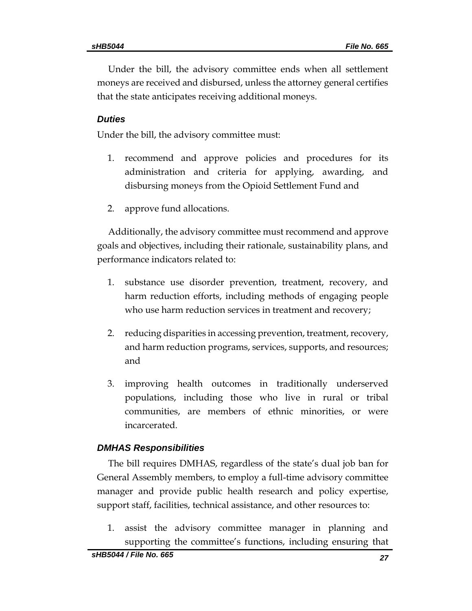Under the bill, the advisory committee ends when all settlement moneys are received and disbursed, unless the attorney general certifies that the state anticipates receiving additional moneys.

### *Duties*

Under the bill, the advisory committee must:

- 1. recommend and approve policies and procedures for its administration and criteria for applying, awarding, and disbursing moneys from the Opioid Settlement Fund and
- 2. approve fund allocations.

Additionally, the advisory committee must recommend and approve goals and objectives, including their rationale, sustainability plans, and performance indicators related to:

- 1. substance use disorder prevention, treatment, recovery, and harm reduction efforts, including methods of engaging people who use harm reduction services in treatment and recovery;
- 2. reducing disparities in accessing prevention, treatment, recovery, and harm reduction programs, services, supports, and resources; and
- 3. improving health outcomes in traditionally underserved populations, including those who live in rural or tribal communities, are members of ethnic minorities, or were incarcerated.

### *DMHAS Responsibilities*

The bill requires DMHAS, regardless of the state's dual job ban for General Assembly members, to employ a full-time advisory committee manager and provide public health research and policy expertise, support staff, facilities, technical assistance, and other resources to:

1. assist the advisory committee manager in planning and supporting the committee's functions, including ensuring that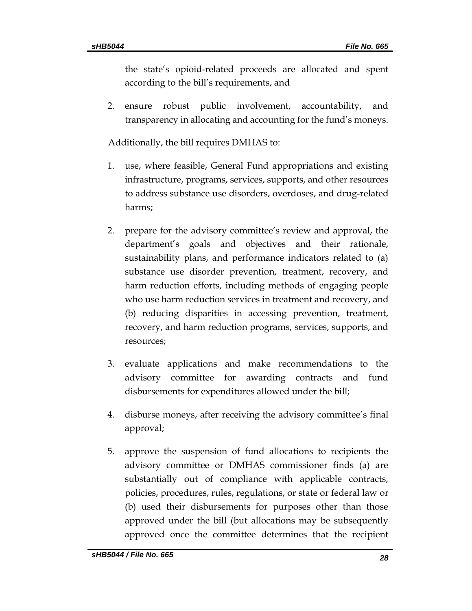the state's opioid-related proceeds are allocated and spent according to the bill's requirements, and

2. ensure robust public involvement, accountability, and transparency in allocating and accounting for the fund's moneys.

Additionally, the bill requires DMHAS to:

- 1. use, where feasible, General Fund appropriations and existing infrastructure, programs, services, supports, and other resources to address substance use disorders, overdoses, and drug-related harms;
- 2. prepare for the advisory committee's review and approval, the department's goals and objectives and their rationale, sustainability plans, and performance indicators related to (a) substance use disorder prevention, treatment, recovery, and harm reduction efforts, including methods of engaging people who use harm reduction services in treatment and recovery, and (b) reducing disparities in accessing prevention, treatment, recovery, and harm reduction programs, services, supports, and resources;
- 3. evaluate applications and make recommendations to the advisory committee for awarding contracts and fund disbursements for expenditures allowed under the bill;
- 4. disburse moneys, after receiving the advisory committee's final approval;
- 5. approve the suspension of fund allocations to recipients the advisory committee or DMHAS commissioner finds (a) are substantially out of compliance with applicable contracts, policies, procedures, rules, regulations, or state or federal law or (b) used their disbursements for purposes other than those approved under the bill (but allocations may be subsequently approved once the committee determines that the recipient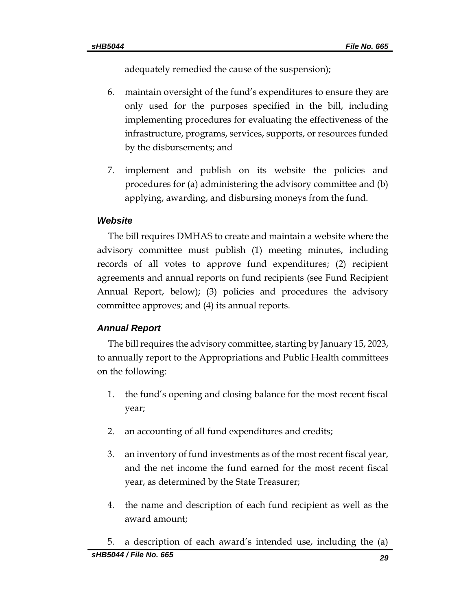adequately remedied the cause of the suspension);

- 6. maintain oversight of the fund's expenditures to ensure they are only used for the purposes specified in the bill, including implementing procedures for evaluating the effectiveness of the infrastructure, programs, services, supports, or resources funded by the disbursements; and
- 7. implement and publish on its website the policies and procedures for (a) administering the advisory committee and (b) applying, awarding, and disbursing moneys from the fund.

# *Website*

The bill requires DMHAS to create and maintain a website where the advisory committee must publish (1) meeting minutes, including records of all votes to approve fund expenditures; (2) recipient agreements and annual reports on fund recipients (see Fund Recipient Annual Report, below); (3) policies and procedures the advisory committee approves; and (4) its annual reports.

# *Annual Report*

The bill requires the advisory committee, starting by January 15, 2023, to annually report to the Appropriations and Public Health committees on the following:

- 1. the fund's opening and closing balance for the most recent fiscal year;
- 2. an accounting of all fund expenditures and credits;
- 3. an inventory of fund investments as of the most recent fiscal year, and the net income the fund earned for the most recent fiscal year, as determined by the State Treasurer;
- 4. the name and description of each fund recipient as well as the award amount;

*sHB5044 / File No. 665 29* 5. a description of each award's intended use, including the (a)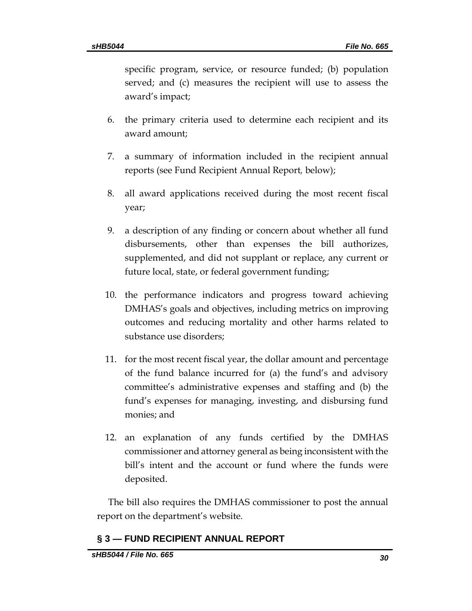specific program, service, or resource funded; (b) population served; and (c) measures the recipient will use to assess the award's impact;

- 6. the primary criteria used to determine each recipient and its award amount;
- 7. a summary of information included in the recipient annual reports (see Fund Recipient Annual Report*,* below);
- 8. all award applications received during the most recent fiscal year;
- 9. a description of any finding or concern about whether all fund disbursements, other than expenses the bill authorizes, supplemented, and did not supplant or replace, any current or future local, state, or federal government funding;
- 10. the performance indicators and progress toward achieving DMHAS's goals and objectives, including metrics on improving outcomes and reducing mortality and other harms related to substance use disorders;
- 11. for the most recent fiscal year, the dollar amount and percentage of the fund balance incurred for (a) the fund's and advisory committee's administrative expenses and staffing and (b) the fund's expenses for managing, investing, and disbursing fund monies; and
- 12. an explanation of any funds certified by the DMHAS commissioner and attorney general as being inconsistent with the bill's intent and the account or fund where the funds were deposited.

The bill also requires the DMHAS commissioner to post the annual report on the department's website.

# **§ 3 — FUND RECIPIENT ANNUAL REPORT**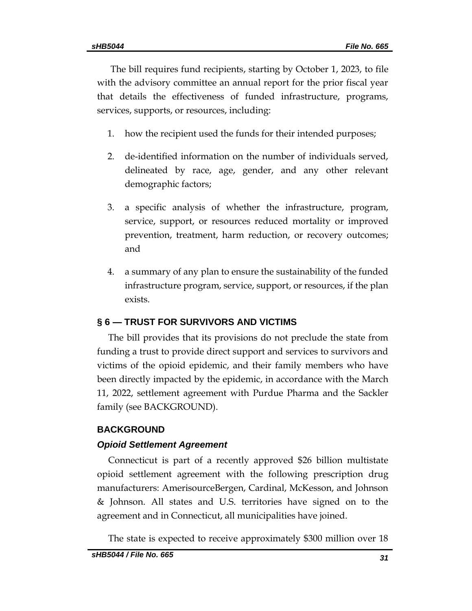The bill requires fund recipients, starting by October 1, 2023, to file with the advisory committee an annual report for the prior fiscal year that details the effectiveness of funded infrastructure, programs, services, supports, or resources, including:

- 1. how the recipient used the funds for their intended purposes;
- 2. de-identified information on the number of individuals served, delineated by race, age, gender, and any other relevant demographic factors;
- 3. a specific analysis of whether the infrastructure, program, service, support, or resources reduced mortality or improved prevention, treatment, harm reduction, or recovery outcomes; and
- 4. a summary of any plan to ensure the sustainability of the funded infrastructure program, service, support, or resources, if the plan exists.

# **§ 6 — TRUST FOR SURVIVORS AND VICTIMS**

The bill provides that its provisions do not preclude the state from funding a trust to provide direct support and services to survivors and victims of the opioid epidemic, and their family members who have been directly impacted by the epidemic, in accordance with the March 11, 2022, settlement agreement with Purdue Pharma and the Sackler family (see BACKGROUND).

### **BACKGROUND**

### *Opioid Settlement Agreement*

Connecticut is part of a recently approved \$26 billion multistate opioid settlement agreement with the following prescription drug manufacturers: AmerisourceBergen, Cardinal, McKesson, and Johnson & Johnson. All states and U.S. territories have signed on to the agreement and in Connecticut, all municipalities have joined.

The state is expected to receive approximately \$300 million over 18